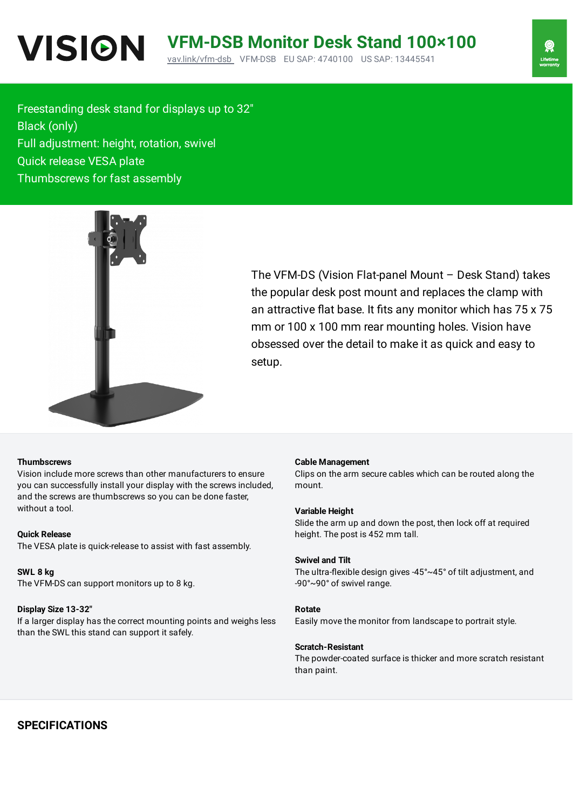Freestanding desk stand for displays up to 32″ Black (only) Full adjustment: height, rotation, swivel Quick release VESA plate Thumbscrews for fast assembly



The VFM-DS (Vision Flat-panel Mount – Desk Stand) takes the popular desk post mount and replaces the clamp with an attractive flat base. It fits any monitor which has 75 x 75 mm or 100 x 100 mm rear mounting holes. Vision have obsessed over the detail to make it as quick and easy to setup.

## **Thumbscrews**

Vision include more screws than other manufacturers to ensure you can successfully install your display with the screws included, and the screws are thumbscrews so you can be done faster, without a tool.

## **Quick Release**

The VESA plate is quick-release to assist with fast assembly.

### **SWL 8 kg**

The VFM-DS can support monitors up to 8 kg.

### **Display Size 13-32″**

If a larger display has the correct mounting points and weighs less than the SWL this stand can support it safely.

#### **Cable Management**

Clips on the arm secure cables which can be routed along the mount.

#### **Variable Height**

Slide the arm up and down the post, then lock off at required height. The post is 452 mm tall.

#### **Swivel and Tilt**

The ultra-flexible design gives -45 $^{\circ}$ ~45 $^{\circ}$  of tilt adjustment, and -90°~90° of swivel range.

### **Rotate**

Easily move the monitor from landscape to portrait style.

## **Scratch-Resistant**

The powder-coated surface is thicker and more scratch resistant than paint.

# **SPECIFICATIONS**